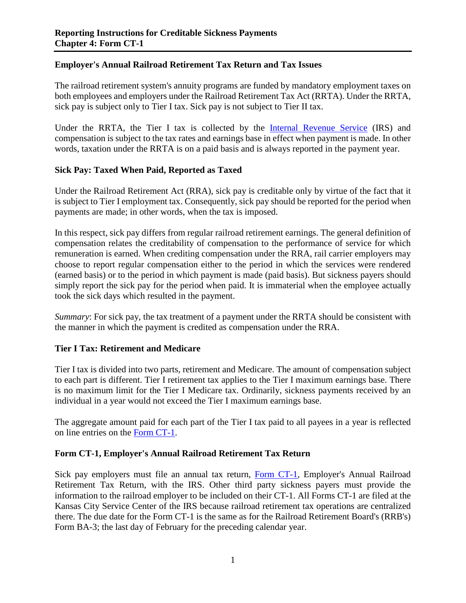# **Employer's Annual Railroad Retirement Tax Return and Tax Issues**

The railroad retirement system's annuity programs are funded by mandatory employment taxes on both employees and employers under the Railroad Retirement Tax Act (RRTA). Under the RRTA, sick pay is subject only to Tier I tax. Sick pay is not subject to Tier II tax.

Under the RRTA, the Tier I tax is collected by the [Internal Revenue Service](https://www.irs.gov/) (IRS) and compensation is subject to the tax rates and earnings base in effect when payment is made. In other words, taxation under the RRTA is on a paid basis and is always reported in the payment year.

# **Sick Pay: Taxed When Paid, Reported as Taxed**

Under the Railroad Retirement Act (RRA), sick pay is creditable only by virtue of the fact that it is subject to Tier I employment tax. Consequently, sick pay should be reported for the period when payments are made; in other words, when the tax is imposed.

In this respect, sick pay differs from regular railroad retirement earnings. The general definition of compensation relates the creditability of compensation to the performance of service for which remuneration is earned. When crediting compensation under the RRA, rail carrier employers may choose to report regular compensation either to the period in which the services were rendered (earned basis) or to the period in which payment is made (paid basis). But sickness payers should simply report the sick pay for the period when paid. It is immaterial when the employee actually took the sick days which resulted in the payment.

*Summary*: For sick pay, the tax treatment of a payment under the RRTA should be consistent with the manner in which the payment is credited as compensation under the RRA.

### **Tier I Tax: Retirement and Medicare**

Tier I tax is divided into two parts, retirement and Medicare. The amount of compensation subject to each part is different. Tier I retirement tax applies to the Tier I maximum earnings base. There is no maximum limit for the Tier I Medicare tax. Ordinarily, sickness payments received by an individual in a year would not exceed the Tier I maximum earnings base.

The aggregate amount paid for each part of the Tier I tax paid to all payees in a year is reflected on line entries on the [Form CT-1.](https://www.irs.gov/pub/irs-pdf/fct1.pdf)

### **Form CT-1, Employer's Annual Railroad Retirement Tax Return**

Sick pay employers must file an annual tax return, [Form CT-1,](https://www.irs.gov/pub/irs-pdf/fct1.pdf) Employer's Annual Railroad Retirement Tax Return, with the IRS. Other third party sickness payers must provide the information to the railroad employer to be included on their CT-1. All Forms CT-1 are filed at the Kansas City Service Center of the IRS because railroad retirement tax operations are centralized there. The due date for the Form CT-1 is the same as for the Railroad Retirement Board's (RRB's) Form BA-3; the last day of February for the preceding calendar year.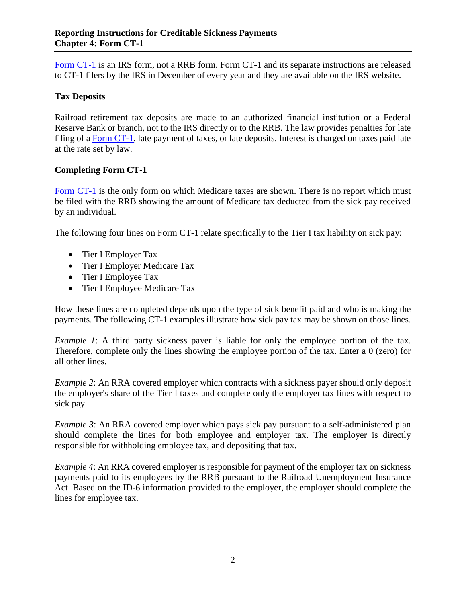[Form CT-1](https://www.irs.gov/pub/irs-pdf/fct1.pdf) is an IRS form, not a RRB form. Form CT-1 and its separate instructions are released to CT-1 filers by the IRS in December of every year and they are available on the IRS website.

# **Tax Deposits**

Railroad retirement tax deposits are made to an authorized financial institution or a Federal Reserve Bank or branch, not to the IRS directly or to the RRB. The law provides penalties for late filing of a [Form CT-1,](https://www.irs.gov/pub/irs-pdf/fct1.pdf) late payment of taxes, or late deposits. Interest is charged on taxes paid late at the rate set by law.

# **Completing Form CT-1**

[Form CT-1](https://www.irs.gov/pub/irs-pdf/fct1.pdf) is the only form on which Medicare taxes are shown. There is no report which must be filed with the RRB showing the amount of Medicare tax deducted from the sick pay received by an individual.

The following four lines on Form CT-1 relate specifically to the Tier I tax liability on sick pay:

- Tier I Employer Tax
- Tier I Employer Medicare Tax
- Tier I Employee Tax
- Tier I Employee Medicare Tax

How these lines are completed depends upon the type of sick benefit paid and who is making the payments. The following CT-1 examples illustrate how sick pay tax may be shown on those lines.

*Example 1*: A third party sickness payer is liable for only the employee portion of the tax. Therefore, complete only the lines showing the employee portion of the tax. Enter a 0 (zero) for all other lines.

*Example 2*: An RRA covered employer which contracts with a sickness payer should only deposit the employer's share of the Tier I taxes and complete only the employer tax lines with respect to sick pay.

*Example 3*: An RRA covered employer which pays sick pay pursuant to a self-administered plan should complete the lines for both employee and employer tax. The employer is directly responsible for withholding employee tax, and depositing that tax.

*Example 4*: An RRA covered employer is responsible for payment of the employer tax on sickness payments paid to its employees by the RRB pursuant to the Railroad Unemployment Insurance Act. Based on the ID-6 information provided to the employer, the employer should complete the lines for employee tax.